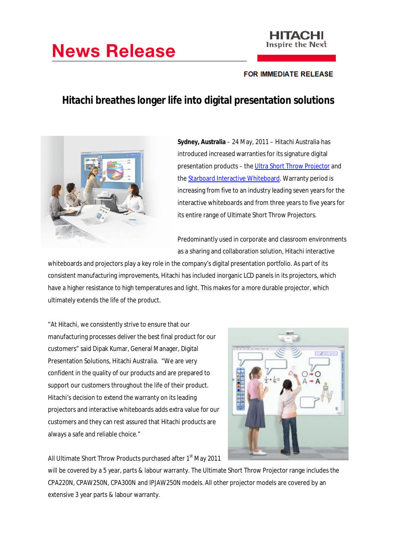# **News Release**



## **FOR IMMEDIATE RELEASE**

# **Hitachi breathes longer life into digital presentation solutions**



**Sydney, Australia** – 24 May, 2011 – Hitachi Australia has introduced increased warranties for its signature digital presentation products – the Ultra Short Throw Projector and the Starboard Interactive Whiteboard. Warranty period is increasing from five to an industry leading seven years for the interactive whiteboards and from three years to five years for its entire range of Ultimate Short Throw Projectors.

Predominantly used in corporate and classroom environments as a sharing and collaboration solution, Hitachi interactive

whiteboards and projectors play a key role in the company's digital presentation portfolio. As part of its consistent manufacturing improvements, Hitachi has included inorganic LCD panels in its projectors, which have a higher resistance to high temperatures and light. This makes for a more durable projector, which ultimately extends the life of the product.

"At Hitachi, we consistently strive to ensure that our manufacturing processes deliver the best final product for our customers" said Dipak Kumar, General Manager, Digital Presentation Solutions, Hitachi Australia. "We are very confident in the quality of our products and are prepared to support our customers throughout the life of their product. Hitachi's decision to extend the warranty on its leading projectors and interactive whiteboards adds extra value for our customers and they can rest assured that Hitachi products are always a safe and reliable choice."



All Ultimate Short Throw Products purchased after 1<sup>st</sup> May 2011

will be covered by a 5 year, parts & labour warranty. The Ultimate Short Throw Projector range includes the CPA220N, CPAW250N, CPA300N and IPJAW250N models. All other projector models are covered by an extensive 3 year parts & labour warranty.